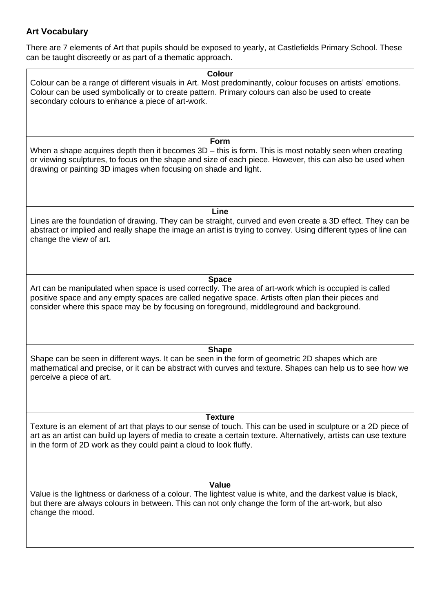## **Art Vocabulary**

There are 7 elements of Art that pupils should be exposed to yearly, at Castlefields Primary School. These can be taught discreetly or as part of a thematic approach.

**Colour** Colour can be a range of different visuals in Art. Most predominantly, colour focuses on artists' emotions. Colour can be used symbolically or to create pattern. Primary colours can also be used to create secondary colours to enhance a piece of art-work.

**Form**

When a shape acquires depth then it becomes 3D – this is form. This is most notably seen when creating or viewing sculptures, to focus on the shape and size of each piece. However, this can also be used when drawing or painting 3D images when focusing on shade and light.

**Line**

Lines are the foundation of drawing. They can be straight, curved and even create a 3D effect. They can be abstract or implied and really shape the image an artist is trying to convey. Using different types of line can change the view of art.

## **Space**

Art can be manipulated when space is used correctly. The area of art-work which is occupied is called positive space and any empty spaces are called negative space. Artists often plan their pieces and consider where this space may be by focusing on foreground, middleground and background.

**Shape**

Shape can be seen in different ways. It can be seen in the form of geometric 2D shapes which are mathematical and precise, or it can be abstract with curves and texture. Shapes can help us to see how we perceive a piece of art.

## **Texture**

Texture is an element of art that plays to our sense of touch. This can be used in sculpture or a 2D piece of art as an artist can build up layers of media to create a certain texture. Alternatively, artists can use texture in the form of 2D work as they could paint a cloud to look fluffy.

## **Value**

Value is the lightness or darkness of a colour. The lightest value is white, and the darkest value is black, but there are always colours in between. This can not only change the form of the art-work, but also change the mood.